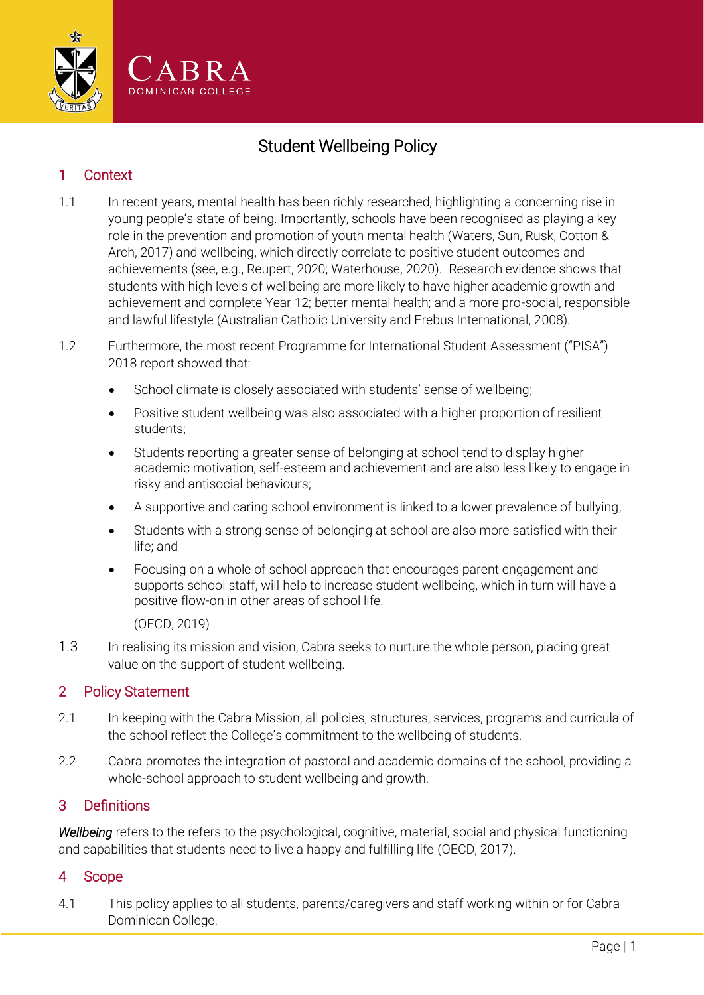

# Student Wellbeing Policy

## 1 Context

- 1.1 In recent years, mental health has been richly researched, highlighting a concerning rise in young people's state of being. Importantly, schools have been recognised as playing a key role in the prevention and promotion of youth mental health (Waters, Sun, Rusk, Cotton & Arch, 2017) and wellbeing, which directly correlate to positive student outcomes and achievements (see, e.g., Reupert, 2020; Waterhouse, 2020). Research evidence shows that students with high levels of wellbeing are more likely to have higher academic growth and achievement and complete Year 12; better mental health; and a more pro-social, responsible and lawful lifestyle (Australian Catholic University and Erebus International, 2008).
- 1.2 Furthermore, the most recent Programme for International Student Assessment ("PISA") 2018 report showed that:
	- School climate is closely associated with students' sense of wellbeing;
	- Positive student wellbeing was also associated with a higher proportion of resilient students;
	- Students reporting a greater sense of belonging at school tend to display higher academic motivation, self-esteem and achievement and are also less likely to engage in risky and antisocial behaviours;
	- A supportive and caring school environment is linked to a lower prevalence of bullying;
	- Students with a strong sense of belonging at school are also more satisfied with their life; and
	- Focusing on a whole of school approach that encourages parent engagement and supports school staff, will help to increase student wellbeing, which in turn will have a positive flow-on in other areas of school life.

(OECD, 2019)

1.3 In realising its mission and vision, Cabra seeks to nurture the whole person, placing great value on the support of student wellbeing.

### 2 Policy Statement

- 2.1 In keeping with the Cabra Mission, all policies, structures, services, programs and curricula of the school reflect the College's commitment to the wellbeing of students.
- 2.2 Cabra promotes the integration of pastoral and academic domains of the school, providing a whole-school approach to student wellbeing and growth.

### 3 Definitions

*Wellbeing* refers to the refers to the psychological, cognitive, material, social and physical functioning and capabilities that students need to live a happy and fulfilling life (OECD, 2017).

### 4 Scope

4.1 This policy applies to all students, parents/caregivers and staff working within or for Cabra Dominican College.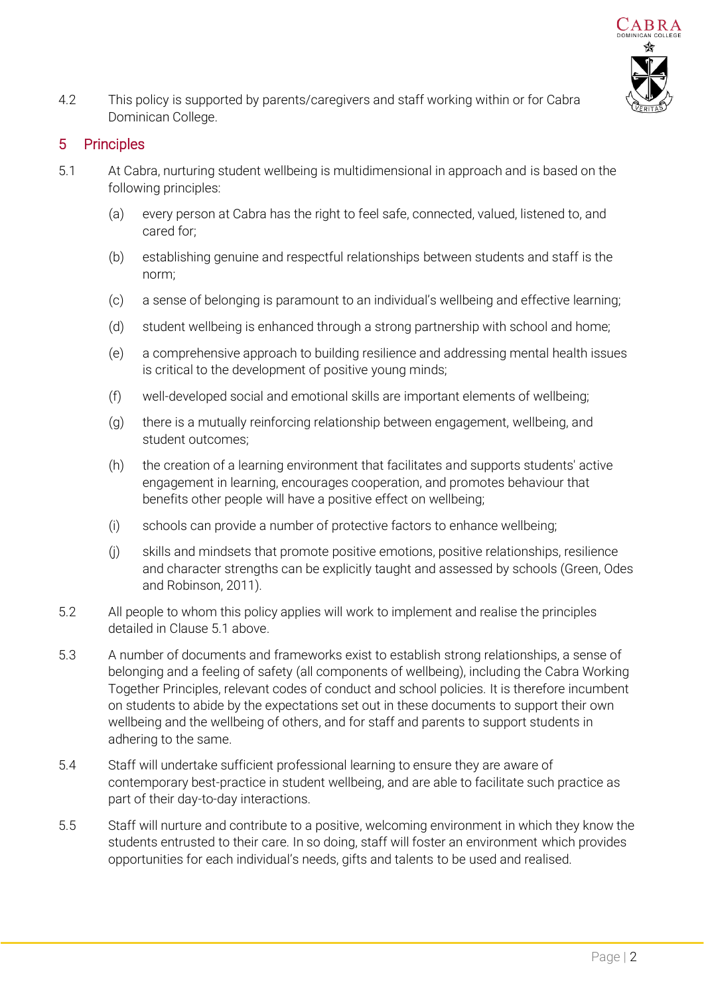

4.2 This policy is supported by parents/caregivers and staff working within or for Cabra Dominican College.

## 5 Principles

- <span id="page-1-0"></span>5.1 At Cabra, nurturing student wellbeing is multidimensional in approach and is based on the following principles:
	- (a) every person at Cabra has the right to feel safe, connected, valued, listened to, and cared for;
	- (b) establishing genuine and respectful relationships between students and staff is the norm;
	- (c) a sense of belonging is paramount to an individual's wellbeing and effective learning;
	- (d) student wellbeing is enhanced through a strong partnership with school and home;
	- (e) a comprehensive approach to building resilience and addressing mental health issues is critical to the development of positive young minds;
	- (f) well-developed social and emotional skills are important elements of wellbeing;
	- (g) there is a mutually reinforcing relationship between engagement, wellbeing, and student outcomes;
	- (h) the creation of a learning environment that facilitates and supports students' active engagement in learning, encourages cooperation, and promotes behaviour that benefits other people will have a positive effect on wellbeing;
	- (i) schools can provide a number of protective factors to enhance wellbeing;
	- (j) skills and mindsets that promote positive emotions, positive relationships, resilience and character strengths can be explicitly taught and assessed by schools (Green, Odes and Robinson, 2011).
- 5.2 All people to whom this policy applies will work to implement and realise the principles detailed in Clause [5.1 above.](#page-1-0)
- 5.3 A number of documents and frameworks exist to establish strong relationships, a sense of belonging and a feeling of safety (all components of wellbeing), including the Cabra Working Together Principles, relevant codes of conduct and school policies. It is therefore incumbent on students to abide by the expectations set out in these documents to support their own wellbeing and the wellbeing of others, and for staff and parents to support students in adhering to the same.
- 5.4 Staff will undertake sufficient professional learning to ensure they are aware of contemporary best-practice in student wellbeing, and are able to facilitate such practice as part of their day-to-day interactions.
- 5.5 Staff will nurture and contribute to a positive, welcoming environment in which they know the students entrusted to their care. In so doing, staff will foster an environment which provides opportunities for each individual's needs, gifts and talents to be used and realised.